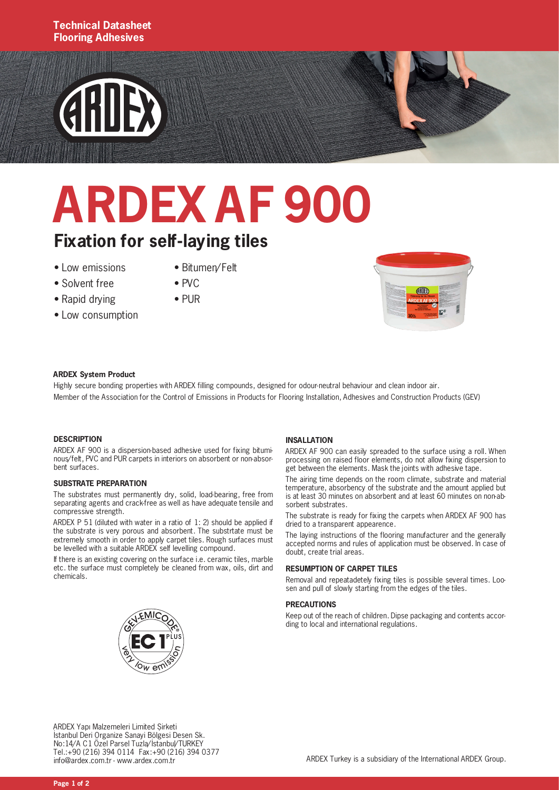#### **Technical Datasheet Flooring Adhesives**

# **GRIDEX**

## **ARDEX AF 900**

#### **Fixation for self-laying tiles**

- Low emissions
- Bitumen/Felt
- Solvent free • Rapid drying
- Low consumption
- $\bullet$  PVC • PUR



#### **ARDEX System Product**

Highly secure bonding properties with ARDEX filling compounds, designed for odour-neutral behaviour and clean indoor air. Member of the Association for the Control of Emissions in Products for Flooring Installation, Adhesives and Construction Products (GEV)

#### **DESCRIPTION**

ARDEX AF 900 is a dispersion-based adhesive used for fixing bituminous/felt, PVC and PUR carpets in interiors on absorbent or non-absorbent surfaces.

#### **SUBSTRATE PREPARATION**

The substrates must permanently dry, solid, load-bearing, free from separating agents and crack-free as well as have adequate tensile and compressive strength.

ARDEX P 51 (diluted with water in a ratio of 1: 2) should be applied if the substrate is very porous and absorbent. The substrtate must be extremely smooth in order to apply carpet tiles. Rough surfaces must be levelled with a suitable ARDEX self levelling compound.

If there is an existing covering on the surface i.e. ceramic tiles, marble etc. the surface must completely be cleaned from wax, oils, dirt and chemicals.

#### **INSALLATION**

ARDEX AF 900 can easily spreaded to the surface using a roll. When processing on raised floor elements, do not allow fixing dispersion to get between the elements. Mask the joints with adhesive tape.

The airing time depends on the room climate, substrate and material temperature, absorbency of the substrate and the amount applied but is at least 30 minutes on absorbent and at least 60 minutes on non-absorbent substrates

The substrate is ready for fixing the carpets when ARDEX AF 900 has dried to a transparent appearence.

The laying instructions of the flooring manufacturer and the generally accepted norms and rules of application must be observed. In case of doubt, create trial areas.

#### **RESUMPTION OF CARPET TILES**

Removal and repeatadetely fixing tiles is possible several times. Loosen and pull of slowly starting from the edges of the tiles.

#### **PRECAUTIONS**

Keep out of the reach of children. Dipse packaging and contents according to local and international regulations.



ARDEX Yapı Malzemeleri Limited Şirketi İstanbul Deri Organize Sanayi Bölgesi Desen Sk. No:14/A C1 Özel Parsel Tuzla/İstanbul/TURKEY Tel.:+90 (216) 394 0114 Fax:+90 (216) 394 0377 info@ardex.com.tr - www.ardex.com.tr